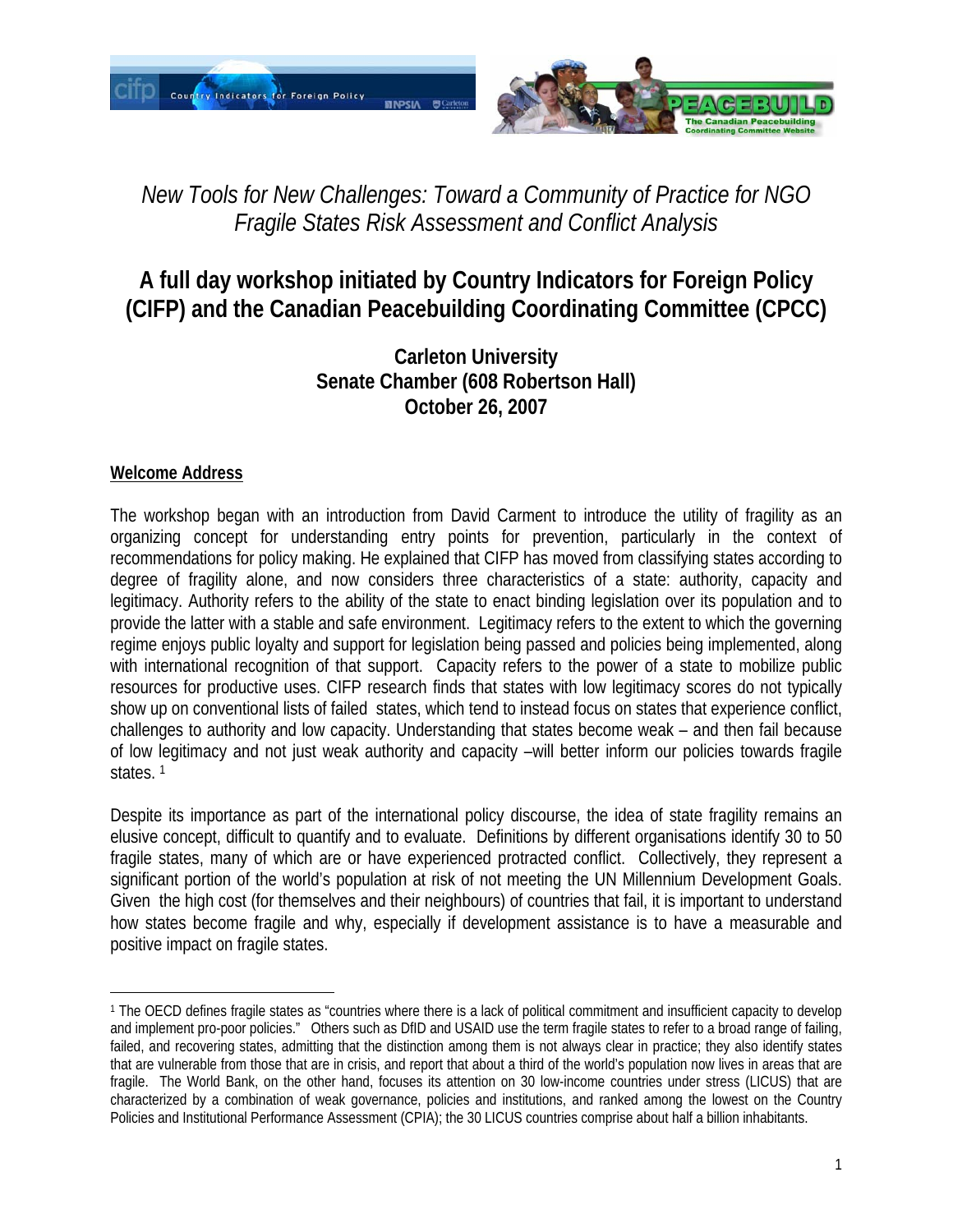

# *New Tools for New Challenges: Toward a Community of Practice for NGO Fragile States Risk Assessment and Conflict Analysis*

## **A full day workshop initiated by Country Indicators for Foreign Policy (CIFP) and the Canadian Peacebuilding Coordinating Committee (CPCC)**

**Carleton University Senate Chamber (608 Robertson Hall) October 26, 2007** 

### **Welcome Address**

The workshop began with an introduction from David Carment to introduce the utility of fragility as an organizing concept for understanding entry points for prevention, particularly in the context of recommendations for policy making. He explained that CIFP has moved from classifying states according to degree of fragility alone, and now considers three characteristics of a state: authority, capacity and legitimacy. Authority refers to the ability of the state to enact binding legislation over its population and to provide the latter with a stable and safe environment. Legitimacy refers to the extent to which the governing regime enjoys public loyalty and support for legislation being passed and policies being implemented, along with international recognition of that support. Capacity refers to the power of a state to mobilize public resources for productive uses. CIFP research finds that states with low legitimacy scores do not typically show up on conventional lists of failed states, which tend to instead focus on states that experience conflict, challenges to authority and low capacity. Understanding that states become weak – and then fail because of low legitimacy and not just weak authority and capacity –will better inform our policies towards fragile states.<sup>1</sup>

Despite its importance as part of the international policy discourse, the idea of state fragility remains an elusive concept, difficult to quantify and to evaluate. Definitions by different organisations identify 30 to 50 fragile states, many of which are or have experienced protracted conflict. Collectively, they represent a significant portion of the world's population at risk of not meeting the UN Millennium Development Goals. Given the high cost (for themselves and their neighbours) of countries that fail, it is important to understand how states become fragile and why, especially if development assistance is to have a measurable and positive impact on fragile states.

 $\overline{a}$ 1 The OECD defines fragile states as "countries where there is a lack of political commitment and insufficient capacity to develop and implement pro-poor policies." Others such as DfID and USAID use the term fragile states to refer to a broad range of failing, failed, and recovering states, admitting that the distinction among them is not always clear in practice; they also identify states that are vulnerable from those that are in crisis, and report that about a third of the world's population now lives in areas that are fragile. The World Bank, on the other hand, focuses its attention on 30 low-income countries under stress (LICUS) that are characterized by a combination of weak governance, policies and institutions, and ranked among the lowest on the Country Policies and Institutional Performance Assessment (CPIA); the 30 LICUS countries comprise about half a billion inhabitants.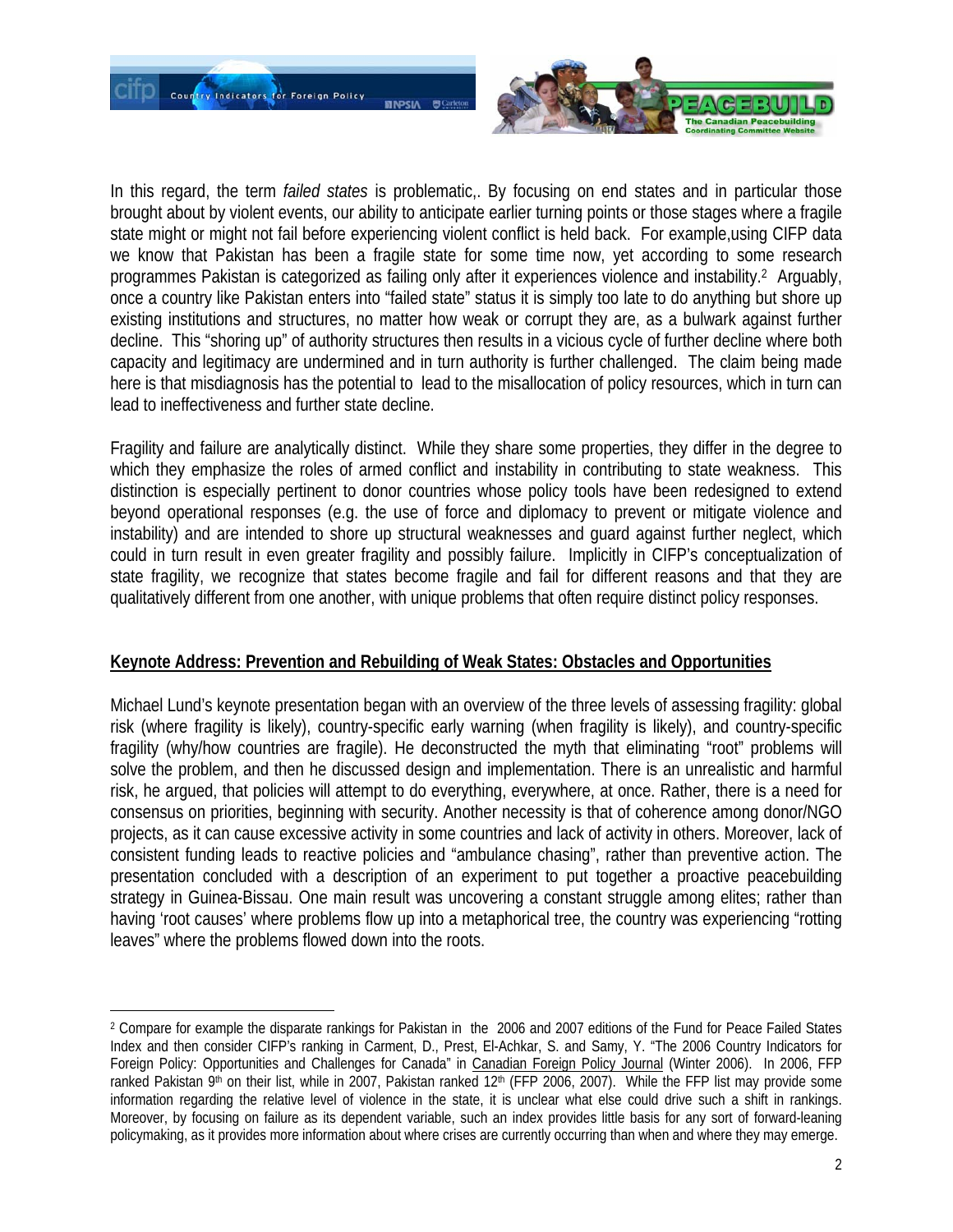

In this regard, the term *failed states* is problematic,. By focusing on end states and in particular those brought about by violent events, our ability to anticipate earlier turning points or those stages where a fragile state might or might not fail before experiencing violent conflict is held back. For example,using CIFP data we know that Pakistan has been a fragile state for some time now, yet according to some research programmes Pakistan is categorized as failing only after it experiences violence and instability.2 Arguably, once a country like Pakistan enters into "failed state" status it is simply too late to do anything but shore up existing institutions and structures, no matter how weak or corrupt they are, as a bulwark against further decline. This "shoring up" of authority structures then results in a vicious cycle of further decline where both capacity and legitimacy are undermined and in turn authority is further challenged. The claim being made here is that misdiagnosis has the potential to lead to the misallocation of policy resources, which in turn can lead to ineffectiveness and further state decline.

Fragility and failure are analytically distinct. While they share some properties, they differ in the degree to which they emphasize the roles of armed conflict and instability in contributing to state weakness. This distinction is especially pertinent to donor countries whose policy tools have been redesigned to extend beyond operational responses (e.g. the use of force and diplomacy to prevent or mitigate violence and instability) and are intended to shore up structural weaknesses and guard against further neglect, which could in turn result in even greater fragility and possibly failure. Implicitly in CIFP's conceptualization of state fragility, we recognize that states become fragile and fail for different reasons and that they are qualitatively different from one another, with unique problems that often require distinct policy responses.

#### **Keynote Address: Prevention and Rebuilding of Weak States: Obstacles and Opportunities**

Michael Lund's keynote presentation began with an overview of the three levels of assessing fragility: global risk (where fragility is likely), country-specific early warning (when fragility is likely), and country-specific fragility (why/how countries are fragile). He deconstructed the myth that eliminating "root" problems will solve the problem, and then he discussed design and implementation. There is an unrealistic and harmful risk, he argued, that policies will attempt to do everything, everywhere, at once. Rather, there is a need for consensus on priorities, beginning with security. Another necessity is that of coherence among donor/NGO projects, as it can cause excessive activity in some countries and lack of activity in others. Moreover, lack of consistent funding leads to reactive policies and "ambulance chasing", rather than preventive action. The presentation concluded with a description of an experiment to put together a proactive peacebuilding strategy in Guinea-Bissau. One main result was uncovering a constant struggle among elites; rather than having 'root causes' where problems flow up into a metaphorical tree, the country was experiencing "rotting leaves" where the problems flowed down into the roots.

 $\overline{a}$ 

<sup>2</sup> Compare for example the disparate rankings for Pakistan in the 2006 and 2007 editions of the Fund for Peace Failed States Index and then consider CIFP's ranking in Carment, D., Prest, El-Achkar, S. and Samy, Y. "The 2006 Country Indicators for Foreign Policy: Opportunities and Challenges for Canada" in Canadian Foreign Policy Journal (Winter 2006). In 2006, FFP ranked Pakistan 9<sup>th</sup> on their list, while in 2007, Pakistan ranked  $12<sup>th</sup>$  (FFP 2006, 2007). While the FFP list may provide some information regarding the relative level of violence in the state, it is unclear what else could drive such a shift in rankings. Moreover, by focusing on failure as its dependent variable, such an index provides little basis for any sort of forward-leaning policymaking, as it provides more information about where crises are currently occurring than when and where they may emerge.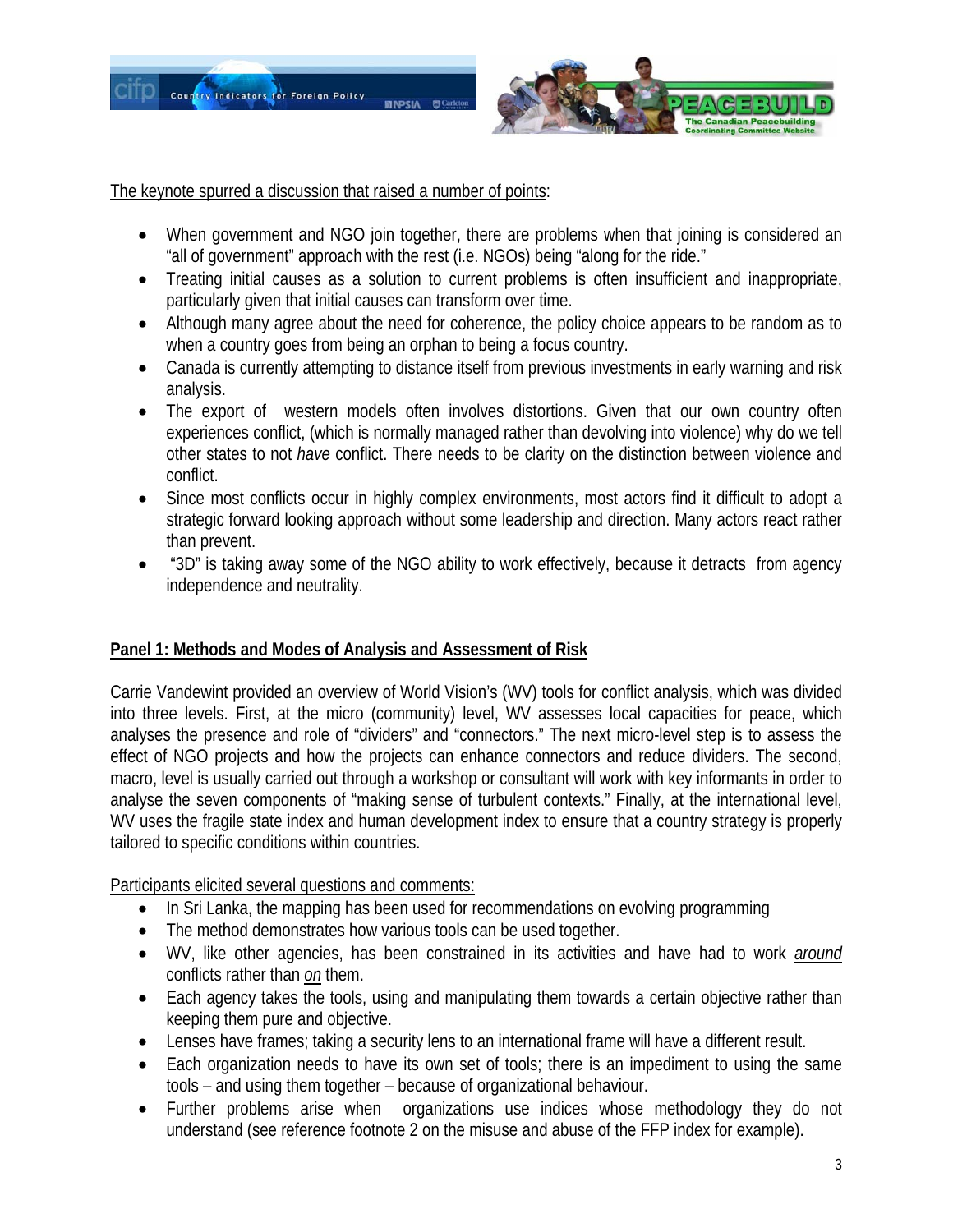

The keynote spurred a discussion that raised a number of points:

- When government and NGO join together, there are problems when that joining is considered an "all of government" approach with the rest (i.e. NGOs) being "along for the ride."
- Treating initial causes as a solution to current problems is often insufficient and inappropriate, particularly given that initial causes can transform over time.
- Although many agree about the need for coherence, the policy choice appears to be random as to when a country goes from being an orphan to being a focus country.
- Canada is currently attempting to distance itself from previous investments in early warning and risk analysis.
- The export of western models often involves distortions. Given that our own country often experiences conflict, (which is normally managed rather than devolving into violence) why do we tell other states to not *have* conflict. There needs to be clarity on the distinction between violence and conflict.
- Since most conflicts occur in highly complex environments, most actors find it difficult to adopt a strategic forward looking approach without some leadership and direction. Many actors react rather than prevent.
- "3D" is taking away some of the NGO ability to work effectively, because it detracts from agency independence and neutrality.

## **Panel 1: Methods and Modes of Analysis and Assessment of Risk**

Carrie Vandewint provided an overview of World Vision's (WV) tools for conflict analysis, which was divided into three levels. First, at the micro (community) level, WV assesses local capacities for peace, which analyses the presence and role of "dividers" and "connectors." The next micro-level step is to assess the effect of NGO projects and how the projects can enhance connectors and reduce dividers. The second, macro, level is usually carried out through a workshop or consultant will work with key informants in order to analyse the seven components of "making sense of turbulent contexts." Finally, at the international level, WV uses the fragile state index and human development index to ensure that a country strategy is properly tailored to specific conditions within countries.

Participants elicited several questions and comments:

- In Sri Lanka, the mapping has been used for recommendations on evolving programming
- The method demonstrates how various tools can be used together.
- WV, like other agencies, has been constrained in its activities and have had to work *around* conflicts rather than *on* them.
- Each agency takes the tools, using and manipulating them towards a certain objective rather than keeping them pure and objective.
- Lenses have frames; taking a security lens to an international frame will have a different result.
- Each organization needs to have its own set of tools; there is an impediment to using the same tools – and using them together – because of organizational behaviour.
- Further problems arise when organizations use indices whose methodology they do not understand (see reference footnote 2 on the misuse and abuse of the FFP index for example).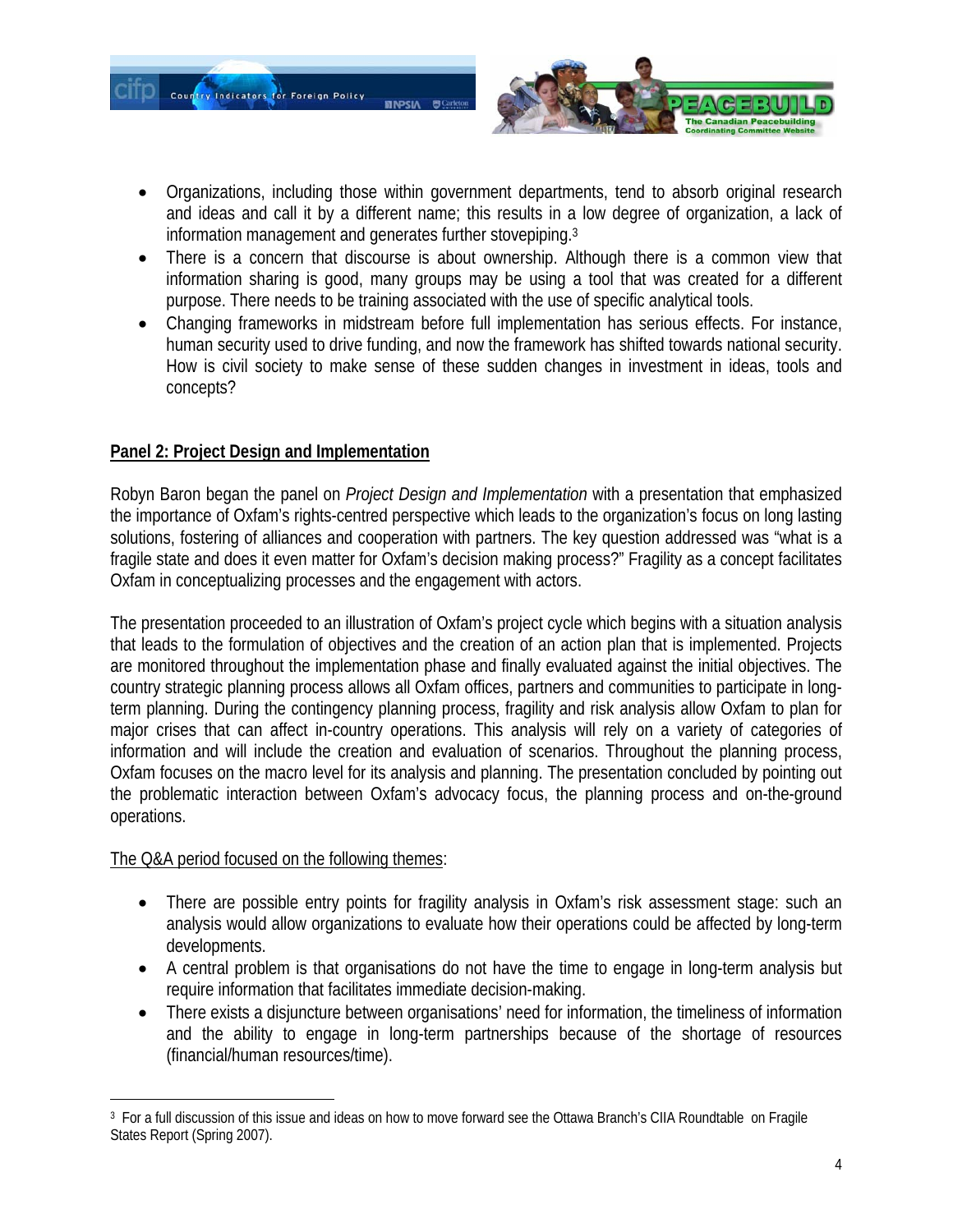

- Organizations, including those within government departments, tend to absorb original research and ideas and call it by a different name; this results in a low degree of organization, a lack of information management and generates further stovepiping.3
- There is a concern that discourse is about ownership. Although there is a common view that information sharing is good, many groups may be using a tool that was created for a different purpose. There needs to be training associated with the use of specific analytical tools.
- Changing frameworks in midstream before full implementation has serious effects. For instance, human security used to drive funding, and now the framework has shifted towards national security. How is civil society to make sense of these sudden changes in investment in ideas, tools and concepts?

## **Panel 2: Project Design and Implementation**

Robyn Baron began the panel on *Project Design and Implementation* with a presentation that emphasized the importance of Oxfam's rights-centred perspective which leads to the organization's focus on long lasting solutions, fostering of alliances and cooperation with partners. The key question addressed was "what is a fragile state and does it even matter for Oxfam's decision making process?" Fragility as a concept facilitates Oxfam in conceptualizing processes and the engagement with actors.

The presentation proceeded to an illustration of Oxfam's project cycle which begins with a situation analysis that leads to the formulation of objectives and the creation of an action plan that is implemented. Projects are monitored throughout the implementation phase and finally evaluated against the initial objectives. The country strategic planning process allows all Oxfam offices, partners and communities to participate in longterm planning. During the contingency planning process, fragility and risk analysis allow Oxfam to plan for major crises that can affect in-country operations. This analysis will rely on a variety of categories of information and will include the creation and evaluation of scenarios. Throughout the planning process, Oxfam focuses on the macro level for its analysis and planning. The presentation concluded by pointing out the problematic interaction between Oxfam's advocacy focus, the planning process and on-the-ground operations.

#### The Q&A period focused on the following themes:

- There are possible entry points for fragility analysis in Oxfam's risk assessment stage: such an analysis would allow organizations to evaluate how their operations could be affected by long-term developments.
- A central problem is that organisations do not have the time to engage in long-term analysis but require information that facilitates immediate decision-making.
- There exists a disjuncture between organisations' need for information, the timeliness of information and the ability to engage in long-term partnerships because of the shortage of resources (financial/human resources/time).

 $\overline{a}$ 3 For a full discussion of this issue and ideas on how to move forward see the Ottawa Branch's CIIA Roundtable on Fragile States Report (Spring 2007).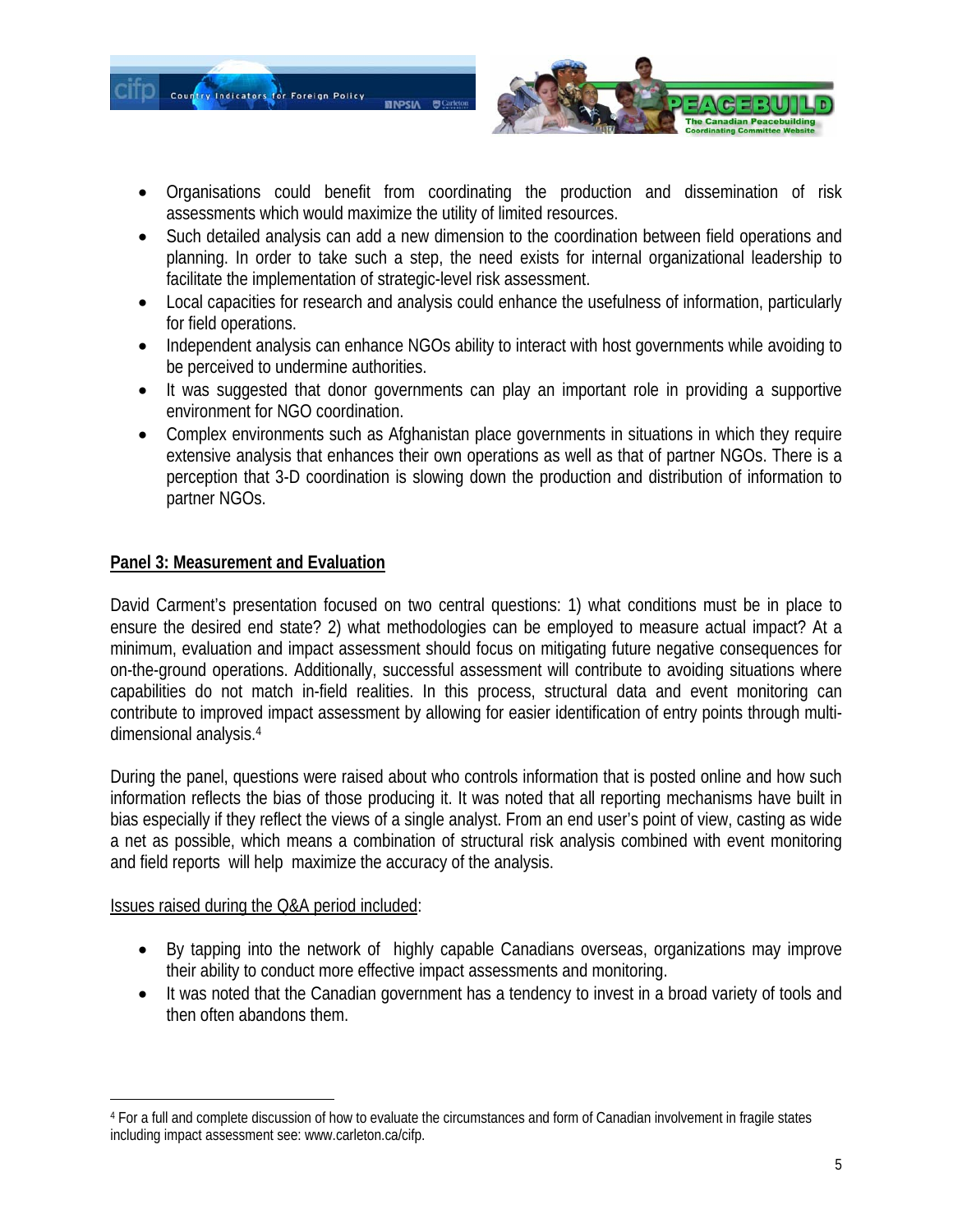



- Organisations could benefit from coordinating the production and dissemination of risk assessments which would maximize the utility of limited resources.
- Such detailed analysis can add a new dimension to the coordination between field operations and planning. In order to take such a step, the need exists for internal organizational leadership to facilitate the implementation of strategic-level risk assessment.
- Local capacities for research and analysis could enhance the usefulness of information, particularly for field operations.
- Independent analysis can enhance NGOs ability to interact with host governments while avoiding to be perceived to undermine authorities.
- It was suggested that donor governments can play an important role in providing a supportive environment for NGO coordination.
- Complex environments such as Afghanistan place governments in situations in which they require extensive analysis that enhances their own operations as well as that of partner NGOs. There is a perception that 3-D coordination is slowing down the production and distribution of information to partner NGOs.

## **Panel 3: Measurement and Evaluation**

David Carment's presentation focused on two central questions: 1) what conditions must be in place to ensure the desired end state? 2) what methodologies can be employed to measure actual impact? At a minimum, evaluation and impact assessment should focus on mitigating future negative consequences for on-the-ground operations. Additionally, successful assessment will contribute to avoiding situations where capabilities do not match in-field realities. In this process, structural data and event monitoring can contribute to improved impact assessment by allowing for easier identification of entry points through multidimensional analysis.4

During the panel, questions were raised about who controls information that is posted online and how such information reflects the bias of those producing it. It was noted that all reporting mechanisms have built in bias especially if they reflect the views of a single analyst. From an end user's point of view, casting as wide a net as possible, which means a combination of structural risk analysis combined with event monitoring and field reports will help maximize the accuracy of the analysis.

Issues raised during the Q&A period included:

- By tapping into the network of highly capable Canadians overseas, organizations may improve their ability to conduct more effective impact assessments and monitoring.
- It was noted that the Canadian government has a tendency to invest in a broad variety of tools and then often abandons them.

 $\overline{a}$ 4 For a full and complete discussion of how to evaluate the circumstances and form of Canadian involvement in fragile states including impact assessment see: www.carleton.ca/cifp.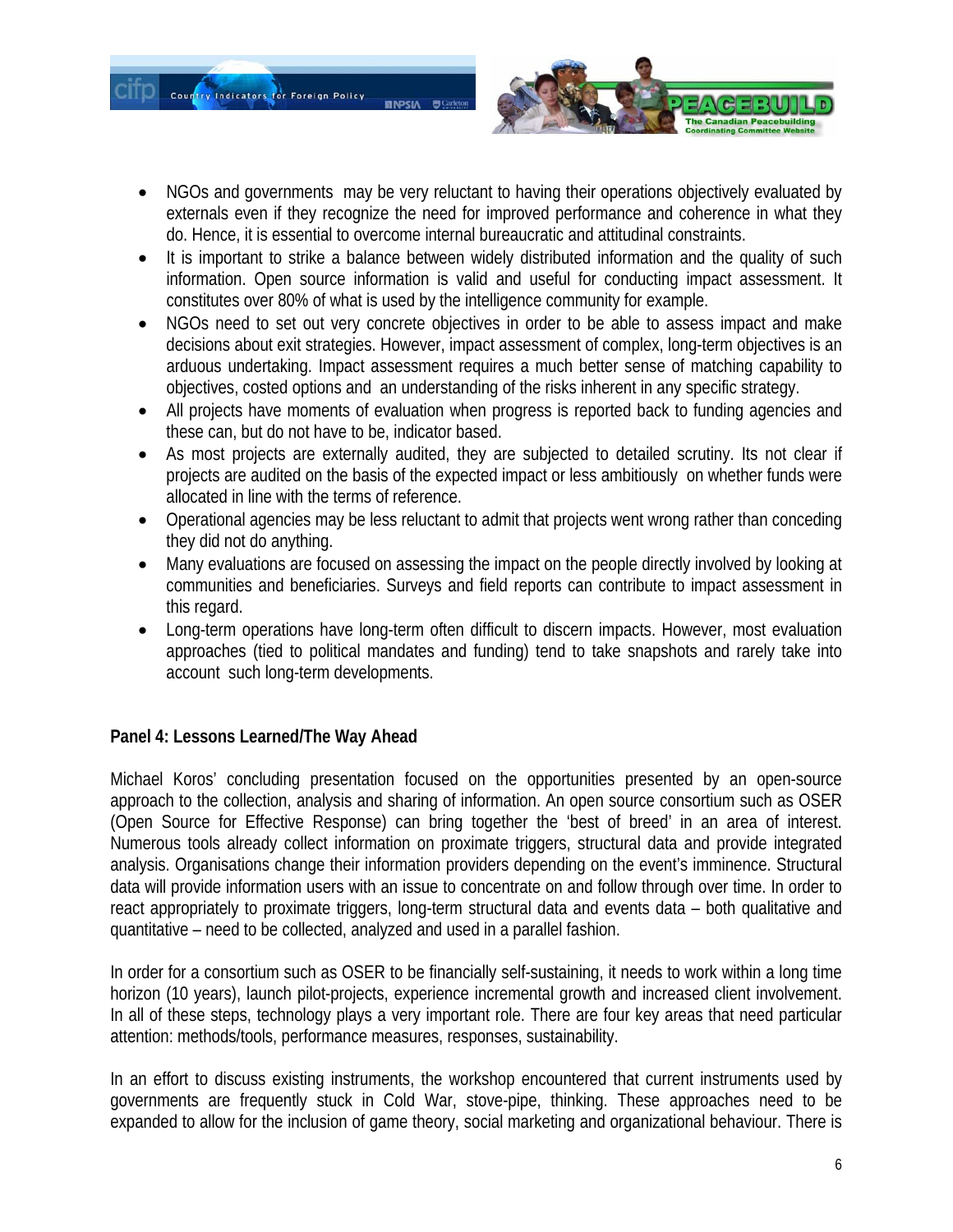

- NGOs and governments may be very reluctant to having their operations objectively evaluated by externals even if they recognize the need for improved performance and coherence in what they do. Hence, it is essential to overcome internal bureaucratic and attitudinal constraints.
- It is important to strike a balance between widely distributed information and the quality of such information. Open source information is valid and useful for conducting impact assessment. It constitutes over 80% of what is used by the intelligence community for example.
- NGOs need to set out very concrete objectives in order to be able to assess impact and make decisions about exit strategies. However, impact assessment of complex, long-term objectives is an arduous undertaking. Impact assessment requires a much better sense of matching capability to objectives, costed options and an understanding of the risks inherent in any specific strategy.
- All projects have moments of evaluation when progress is reported back to funding agencies and these can, but do not have to be, indicator based.
- As most projects are externally audited, they are subjected to detailed scrutiny. Its not clear if projects are audited on the basis of the expected impact or less ambitiously on whether funds were allocated in line with the terms of reference.
- Operational agencies may be less reluctant to admit that projects went wrong rather than conceding they did not do anything.
- Many evaluations are focused on assessing the impact on the people directly involved by looking at communities and beneficiaries. Surveys and field reports can contribute to impact assessment in this regard.
- Long-term operations have long-term often difficult to discern impacts. However, most evaluation approaches (tied to political mandates and funding) tend to take snapshots and rarely take into account such long-term developments.

#### **Panel 4: Lessons Learned/The Way Ahead**

Michael Koros' concluding presentation focused on the opportunities presented by an open-source approach to the collection, analysis and sharing of information. An open source consortium such as OSER (Open Source for Effective Response) can bring together the 'best of breed' in an area of interest. Numerous tools already collect information on proximate triggers, structural data and provide integrated analysis. Organisations change their information providers depending on the event's imminence. Structural data will provide information users with an issue to concentrate on and follow through over time. In order to react appropriately to proximate triggers, long-term structural data and events data – both qualitative and quantitative – need to be collected, analyzed and used in a parallel fashion.

In order for a consortium such as OSER to be financially self-sustaining, it needs to work within a long time horizon (10 years), launch pilot-projects, experience incremental growth and increased client involvement. In all of these steps, technology plays a very important role. There are four key areas that need particular attention: methods/tools, performance measures, responses, sustainability.

In an effort to discuss existing instruments, the workshop encountered that current instruments used by governments are frequently stuck in Cold War, stove-pipe, thinking. These approaches need to be expanded to allow for the inclusion of game theory, social marketing and organizational behaviour. There is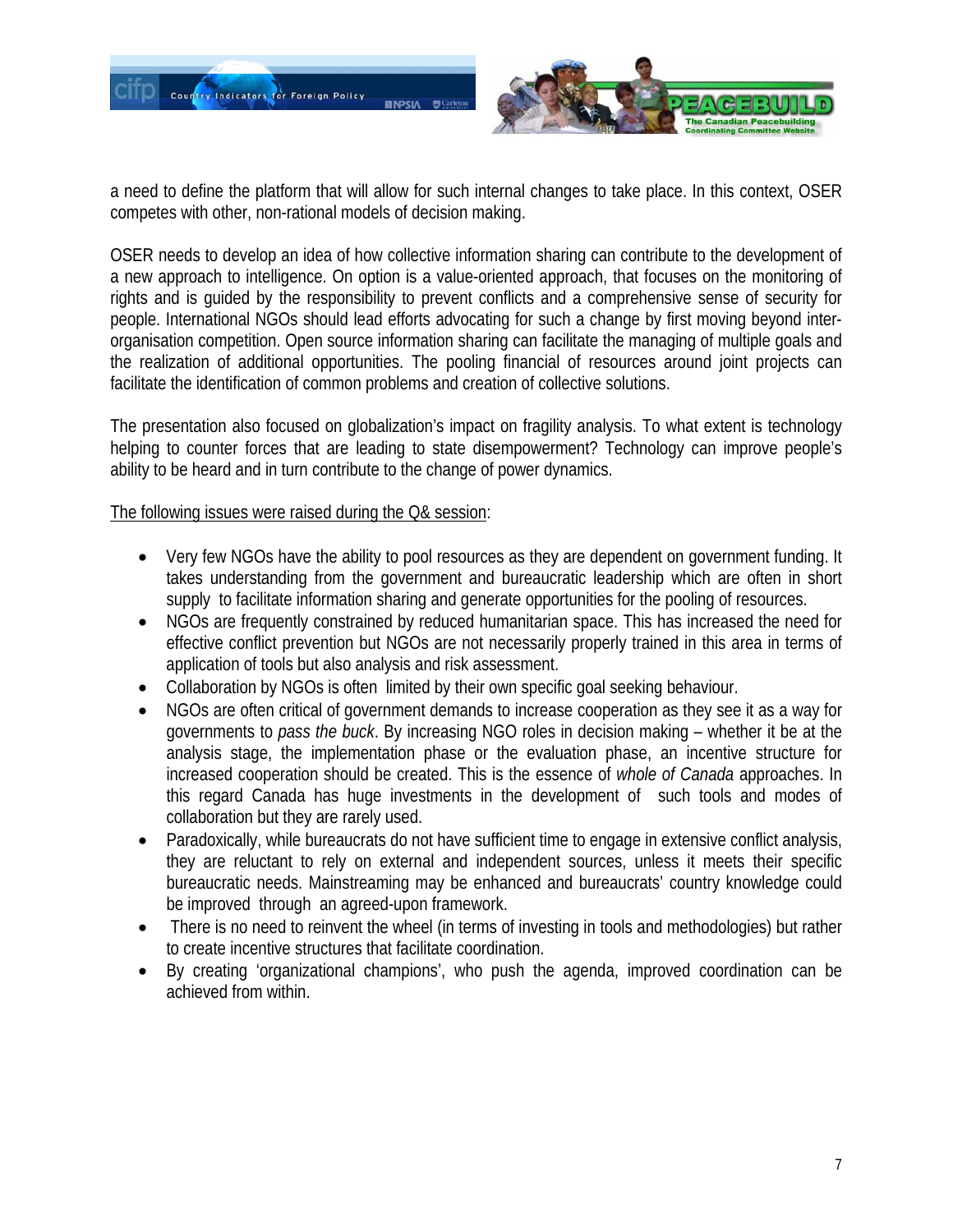

a need to define the platform that will allow for such internal changes to take place. In this context, OSER competes with other, non-rational models of decision making.

OSER needs to develop an idea of how collective information sharing can contribute to the development of a new approach to intelligence. On option is a value-oriented approach, that focuses on the monitoring of rights and is guided by the responsibility to prevent conflicts and a comprehensive sense of security for people. International NGOs should lead efforts advocating for such a change by first moving beyond interorganisation competition. Open source information sharing can facilitate the managing of multiple goals and the realization of additional opportunities. The pooling financial of resources around joint projects can facilitate the identification of common problems and creation of collective solutions.

The presentation also focused on globalization's impact on fragility analysis. To what extent is technology helping to counter forces that are leading to state disempowerment? Technology can improve people's ability to be heard and in turn contribute to the change of power dynamics.

#### The following issues were raised during the Q& session:

- Very few NGOs have the ability to pool resources as they are dependent on government funding. It takes understanding from the government and bureaucratic leadership which are often in short supply to facilitate information sharing and generate opportunities for the pooling of resources.
- NGOs are frequently constrained by reduced humanitarian space. This has increased the need for effective conflict prevention but NGOs are not necessarily properly trained in this area in terms of application of tools but also analysis and risk assessment.
- Collaboration by NGOs is often limited by their own specific goal seeking behaviour.
- NGOs are often critical of government demands to increase cooperation as they see it as a way for governments to *pass the buck*. By increasing NGO roles in decision making – whether it be at the analysis stage, the implementation phase or the evaluation phase, an incentive structure for increased cooperation should be created. This is the essence of *whole of Canada* approaches. In this regard Canada has huge investments in the development of such tools and modes of collaboration but they are rarely used.
- Paradoxically, while bureaucrats do not have sufficient time to engage in extensive conflict analysis, they are reluctant to rely on external and independent sources, unless it meets their specific bureaucratic needs. Mainstreaming may be enhanced and bureaucrats' country knowledge could be improved through an agreed-upon framework.
- There is no need to reinvent the wheel (in terms of investing in tools and methodologies) but rather to create incentive structures that facilitate coordination.
- By creating 'organizational champions', who push the agenda, improved coordination can be achieved from within.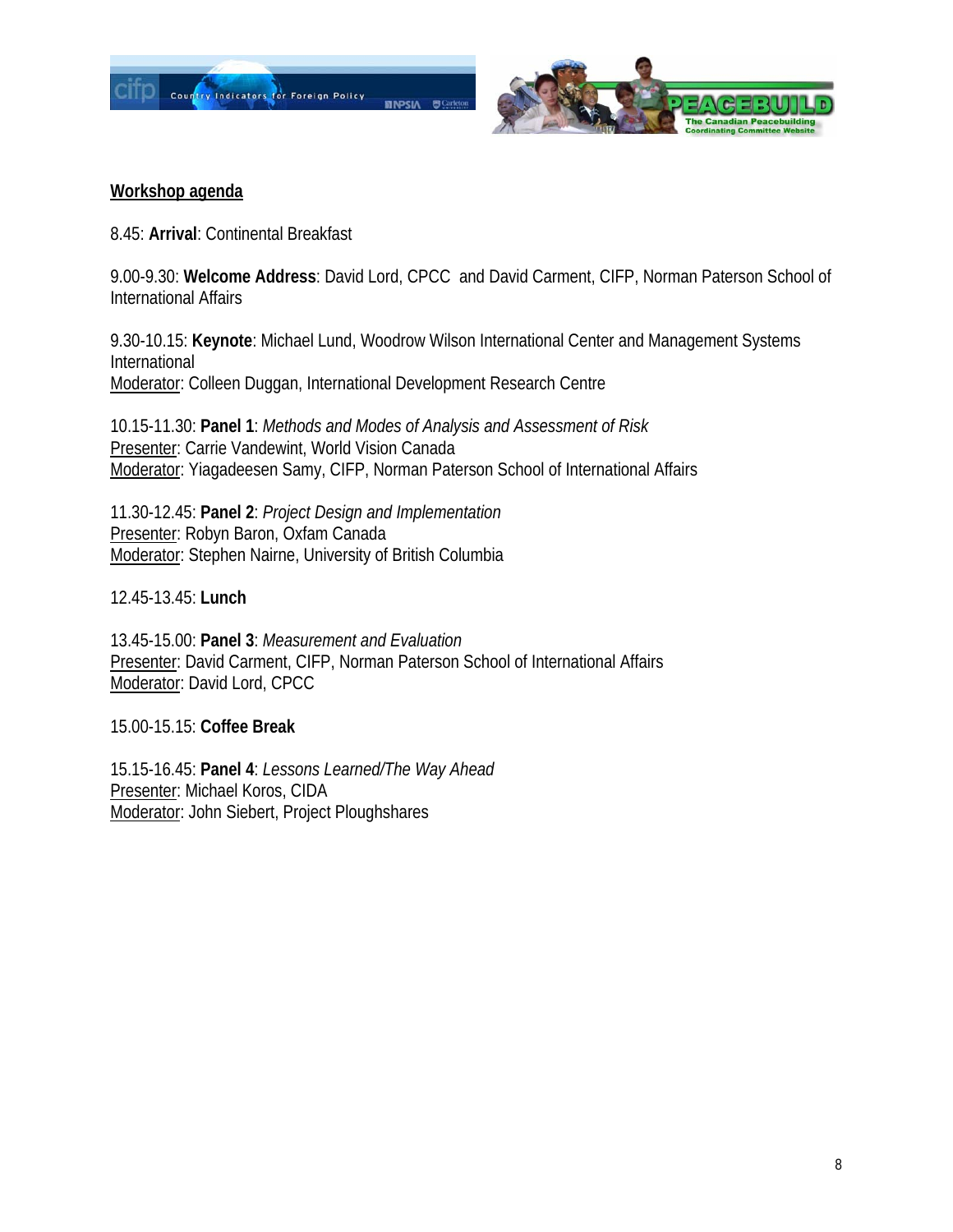



### **Workshop agenda**

8.45: **Arrival**: Continental Breakfast

9.00-9.30: **Welcome Address**: David Lord, CPCC and David Carment, CIFP, Norman Paterson School of International Affairs

9.30-10.15: **Keynote**: Michael Lund, Woodrow Wilson International Center and Management Systems International Moderator: Colleen Duggan, International Development Research Centre

10.15-11.30: **Panel 1**: *Methods and Modes of Analysis and Assessment of Risk* Presenter: Carrie Vandewint, World Vision Canada Moderator: Yiagadeesen Samy, CIFP, Norman Paterson School of International Affairs

11.30-12.45: **Panel 2**: *Project Design and Implementation* Presenter: Robyn Baron, Oxfam Canada Moderator: Stephen Nairne, University of British Columbia

12.45-13.45: **Lunch**

13.45-15.00: **Panel 3**: *Measurement and Evaluation* Presenter: David Carment, CIFP, Norman Paterson School of International Affairs Moderator: David Lord, CPCC

15.00-15.15: **Coffee Break** 

15.15-16.45: **Panel 4**: *Lessons Learned/The Way Ahead* Presenter: Michael Koros, CIDA Moderator: John Siebert, Project Ploughshares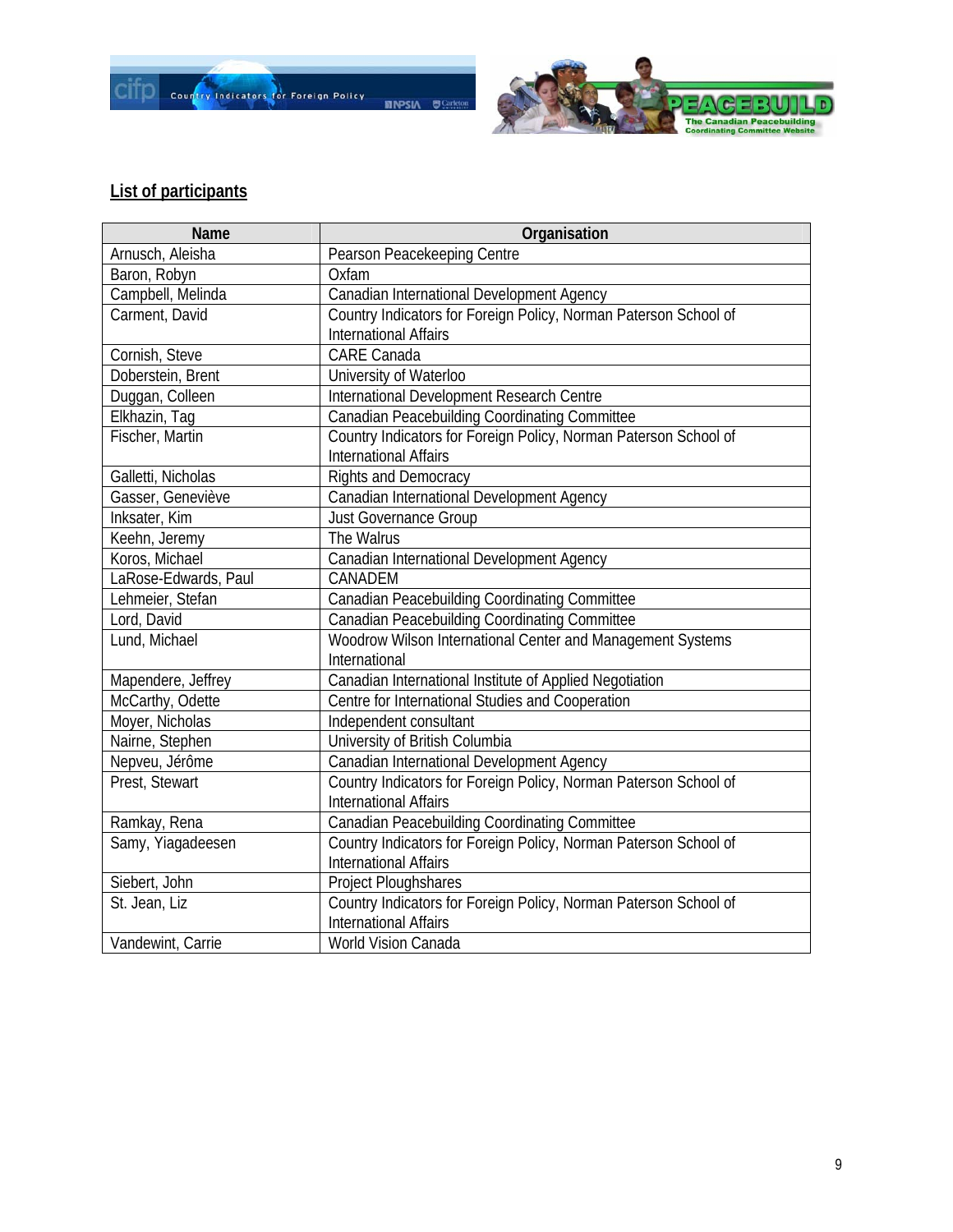



## **List of participants**

| Name                 | Organisation                                                     |
|----------------------|------------------------------------------------------------------|
| Arnusch, Aleisha     | Pearson Peacekeeping Centre                                      |
| Baron, Robyn         | Oxfam                                                            |
| Campbell, Melinda    | Canadian International Development Agency                        |
| Carment, David       | Country Indicators for Foreign Policy, Norman Paterson School of |
|                      | <b>International Affairs</b>                                     |
| Cornish, Steve       | <b>CARE Canada</b>                                               |
| Doberstein, Brent    | University of Waterloo                                           |
| Duggan, Colleen      | International Development Research Centre                        |
| Elkhazin, Tag        | <b>Canadian Peacebuilding Coordinating Committee</b>             |
| Fischer, Martin      | Country Indicators for Foreign Policy, Norman Paterson School of |
|                      | <b>International Affairs</b>                                     |
| Galletti, Nicholas   | <b>Rights and Democracy</b>                                      |
| Gasser, Geneviève    | Canadian International Development Agency                        |
| Inksater, Kim        | <b>Just Governance Group</b>                                     |
| Keehn, Jeremy        | The Walrus                                                       |
| Koros, Michael       | Canadian International Development Agency                        |
| LaRose-Edwards, Paul | CANADEM                                                          |
| Lehmeier, Stefan     | <b>Canadian Peacebuilding Coordinating Committee</b>             |
| Lord, David          | <b>Canadian Peacebuilding Coordinating Committee</b>             |
| Lund, Michael        | Woodrow Wilson International Center and Management Systems       |
|                      | International                                                    |
| Mapendere, Jeffrey   | Canadian International Institute of Applied Negotiation          |
| McCarthy, Odette     | Centre for International Studies and Cooperation                 |
| Moyer, Nicholas      | Independent consultant                                           |
| Nairne, Stephen      | University of British Columbia                                   |
| Nepveu, Jérôme       | Canadian International Development Agency                        |
| Prest, Stewart       | Country Indicators for Foreign Policy, Norman Paterson School of |
|                      | <b>International Affairs</b>                                     |
| Ramkay, Rena         | <b>Canadian Peacebuilding Coordinating Committee</b>             |
| Samy, Yiagadeesen    | Country Indicators for Foreign Policy, Norman Paterson School of |
|                      | <b>International Affairs</b>                                     |
| Siebert, John        | Project Ploughshares                                             |
| St. Jean, Liz        | Country Indicators for Foreign Policy, Norman Paterson School of |
|                      | <b>International Affairs</b>                                     |
| Vandewint, Carrie    | <b>World Vision Canada</b>                                       |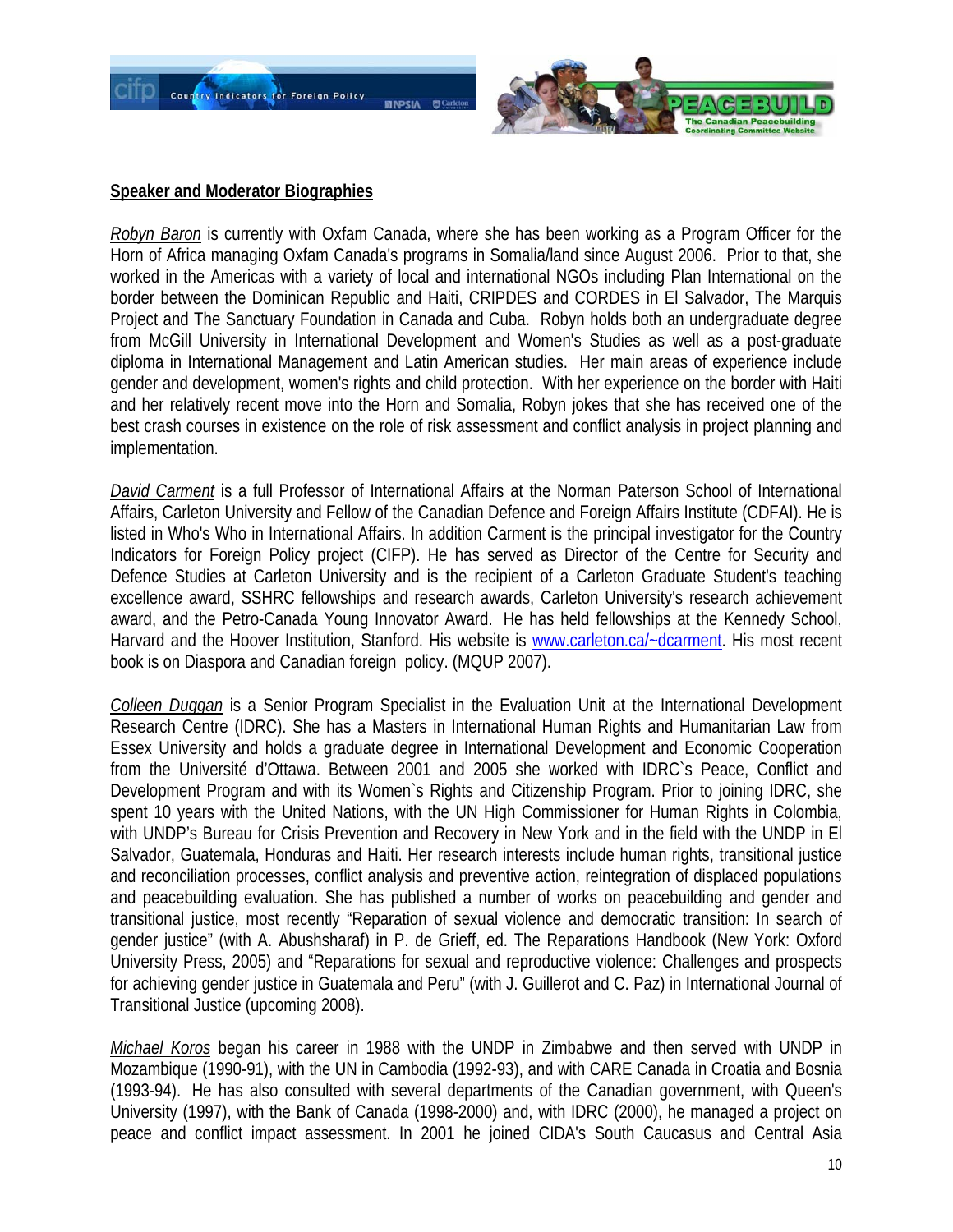



#### **Speaker and Moderator Biographies**

*Robyn Baron* is currently with Oxfam Canada, where she has been working as a Program Officer for the Horn of Africa managing Oxfam Canada's programs in Somalia/land since August 2006. Prior to that, she worked in the Americas with a variety of local and international NGOs including Plan International on the border between the Dominican Republic and Haiti, CRIPDES and CORDES in El Salvador, The Marquis Project and The Sanctuary Foundation in Canada and Cuba. Robyn holds both an undergraduate degree from McGill University in International Development and Women's Studies as well as a post-graduate diploma in International Management and Latin American studies. Her main areas of experience include gender and development, women's rights and child protection. With her experience on the border with Haiti and her relatively recent move into the Horn and Somalia, Robyn jokes that she has received one of the best crash courses in existence on the role of risk assessment and conflict analysis in project planning and implementation.

*David Carment* is a full Professor of International Affairs at the Norman Paterson School of International Affairs, Carleton University and Fellow of the Canadian Defence and Foreign Affairs Institute (CDFAI). He is listed in Who's Who in International Affairs. In addition Carment is the principal investigator for the Country Indicators for Foreign Policy project (CIFP). He has served as Director of the Centre for Security and Defence Studies at Carleton University and is the recipient of a Carleton Graduate Student's teaching excellence award, SSHRC fellowships and research awards, Carleton University's research achievement award, and the Petro-Canada Young Innovator Award. He has held fellowships at the Kennedy School, Harvard and the Hoover Institution, Stanford. His website is www.carleton.cal~dcarment. His most recent book is on Diaspora and Canadian foreign policy. (MQUP 2007).

*Colleen Duggan* is a Senior Program Specialist in the Evaluation Unit at the International Development Research Centre (IDRC). She has a Masters in International Human Rights and Humanitarian Law from Essex University and holds a graduate degree in International Development and Economic Cooperation from the Université d'Ottawa. Between 2001 and 2005 she worked with IDRC`s Peace, Conflict and Development Program and with its Women`s Rights and Citizenship Program. Prior to joining IDRC, she spent 10 years with the United Nations, with the UN High Commissioner for Human Rights in Colombia, with UNDP's Bureau for Crisis Prevention and Recovery in New York and in the field with the UNDP in El Salvador, Guatemala, Honduras and Haiti. Her research interests include human rights, transitional justice and reconciliation processes, conflict analysis and preventive action, reintegration of displaced populations and peacebuilding evaluation. She has published a number of works on peacebuilding and gender and transitional justice, most recently "Reparation of sexual violence and democratic transition: In search of gender justice" (with A. Abushsharaf) in P. de Grieff, ed. The Reparations Handbook (New York: Oxford University Press, 2005) and "Reparations for sexual and reproductive violence: Challenges and prospects for achieving gender justice in Guatemala and Peru" (with J. Guillerot and C. Paz) in International Journal of Transitional Justice (upcoming 2008).

*Michael Koros* began his career in 1988 with the UNDP in Zimbabwe and then served with UNDP in Mozambique (1990-91), with the UN in Cambodia (1992-93), and with CARE Canada in Croatia and Bosnia (1993-94). He has also consulted with several departments of the Canadian government, with Queen's University (1997), with the Bank of Canada (1998-2000) and, with IDRC (2000), he managed a project on peace and conflict impact assessment. In 2001 he joined CIDA's South Caucasus and Central Asia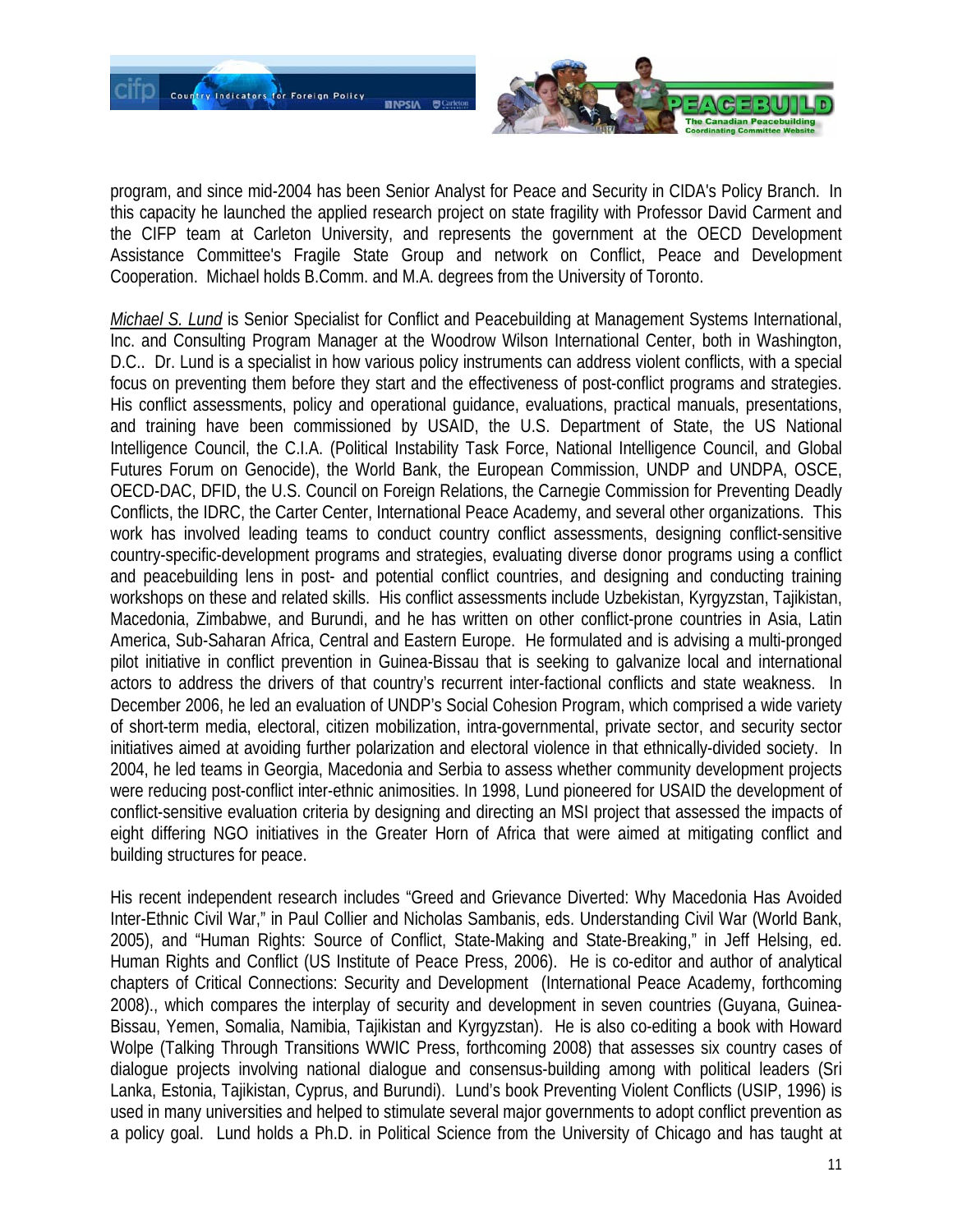

program, and since mid-2004 has been Senior Analyst for Peace and Security in CIDA's Policy Branch. In this capacity he launched the applied research project on state fragility with Professor David Carment and the CIFP team at Carleton University, and represents the government at the OECD Development Assistance Committee's Fragile State Group and network on Conflict, Peace and Development Cooperation. Michael holds B.Comm. and M.A. degrees from the University of Toronto.

*Michael S. Lund* is Senior Specialist for Conflict and Peacebuilding at Management Systems International, Inc. and Consulting Program Manager at the Woodrow Wilson International Center, both in Washington, D.C.. Dr. Lund is a specialist in how various policy instruments can address violent conflicts, with a special focus on preventing them before they start and the effectiveness of post-conflict programs and strategies. His conflict assessments, policy and operational guidance, evaluations, practical manuals, presentations, and training have been commissioned by USAID, the U.S. Department of State, the US National Intelligence Council, the C.I.A. (Political Instability Task Force, National Intelligence Council, and Global Futures Forum on Genocide), the World Bank, the European Commission, UNDP and UNDPA, OSCE, OECD-DAC, DFID, the U.S. Council on Foreign Relations, the Carnegie Commission for Preventing Deadly Conflicts, the IDRC, the Carter Center, International Peace Academy, and several other organizations. This work has involved leading teams to conduct country conflict assessments, designing conflict-sensitive country-specific-development programs and strategies, evaluating diverse donor programs using a conflict and peacebuilding lens in post- and potential conflict countries, and designing and conducting training workshops on these and related skills. His conflict assessments include Uzbekistan, Kyrgyzstan, Tajikistan, Macedonia, Zimbabwe, and Burundi, and he has written on other conflict-prone countries in Asia, Latin America, Sub-Saharan Africa, Central and Eastern Europe. He formulated and is advising a multi-pronged pilot initiative in conflict prevention in Guinea-Bissau that is seeking to galvanize local and international actors to address the drivers of that country's recurrent inter-factional conflicts and state weakness. In December 2006, he led an evaluation of UNDP's Social Cohesion Program, which comprised a wide variety of short-term media, electoral, citizen mobilization, intra-governmental, private sector, and security sector initiatives aimed at avoiding further polarization and electoral violence in that ethnically-divided society. In 2004, he led teams in Georgia, Macedonia and Serbia to assess whether community development projects were reducing post-conflict inter-ethnic animosities. In 1998, Lund pioneered for USAID the development of conflict-sensitive evaluation criteria by designing and directing an MSI project that assessed the impacts of eight differing NGO initiatives in the Greater Horn of Africa that were aimed at mitigating conflict and building structures for peace.

His recent independent research includes "Greed and Grievance Diverted: Why Macedonia Has Avoided Inter-Ethnic Civil War," in Paul Collier and Nicholas Sambanis, eds. Understanding Civil War (World Bank, 2005), and "Human Rights: Source of Conflict, State-Making and State-Breaking," in Jeff Helsing, ed. Human Rights and Conflict (US Institute of Peace Press, 2006). He is co-editor and author of analytical chapters of Critical Connections: Security and Development (International Peace Academy, forthcoming 2008)., which compares the interplay of security and development in seven countries (Guyana, Guinea-Bissau, Yemen, Somalia, Namibia, Tajikistan and Kyrgyzstan). He is also co-editing a book with Howard Wolpe (Talking Through Transitions WWIC Press, forthcoming 2008) that assesses six country cases of dialogue projects involving national dialogue and consensus-building among with political leaders (Sri Lanka, Estonia, Tajikistan, Cyprus, and Burundi). Lund's book Preventing Violent Conflicts (USIP, 1996) is used in many universities and helped to stimulate several major governments to adopt conflict prevention as a policy goal. Lund holds a Ph.D. in Political Science from the University of Chicago and has taught at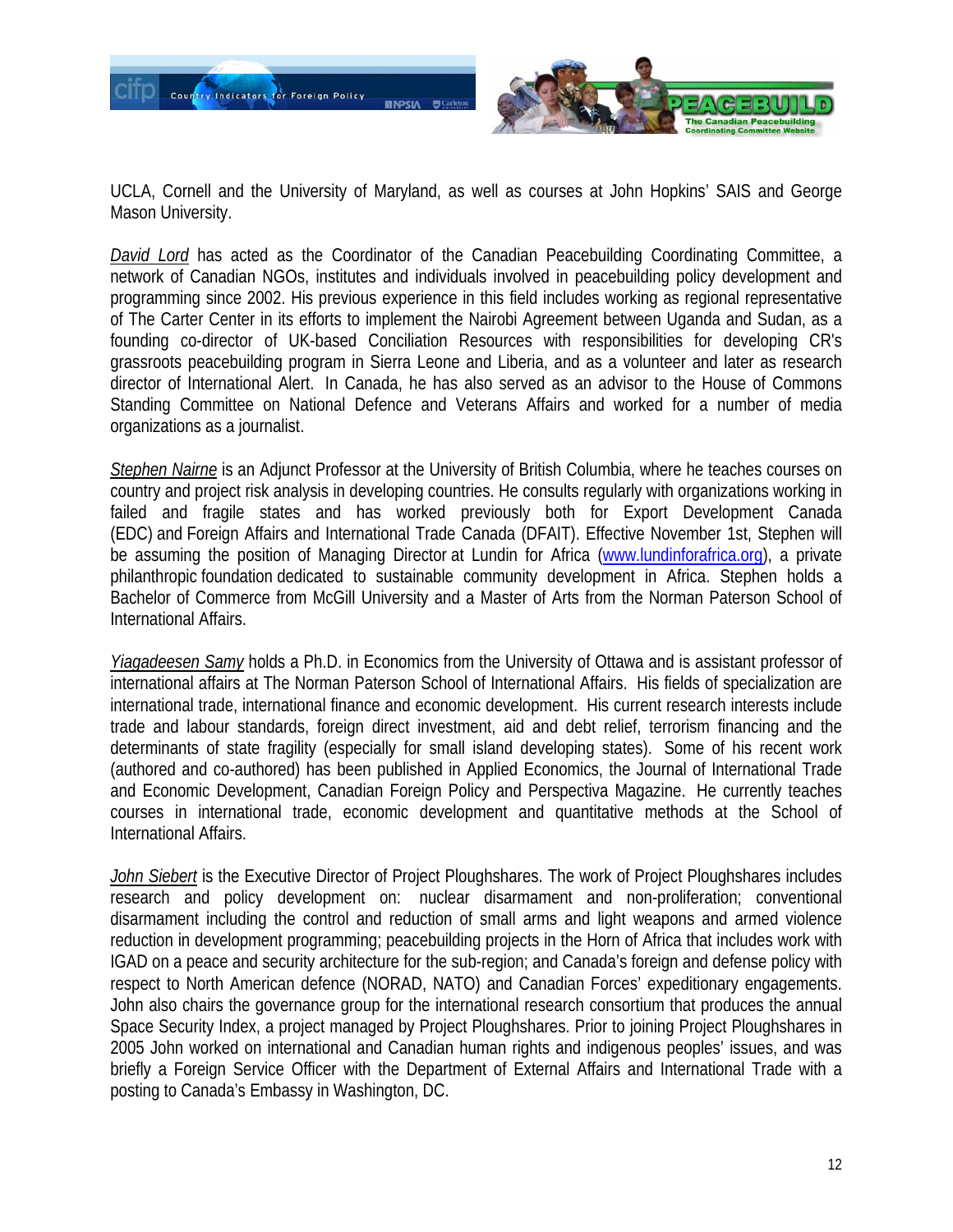

UCLA, Cornell and the University of Maryland, as well as courses at John Hopkins' SAIS and George Mason University.

*David Lord* has acted as the Coordinator of the Canadian Peacebuilding Coordinating Committee, a network of Canadian NGOs, institutes and individuals involved in peacebuilding policy development and programming since 2002. His previous experience in this field includes working as regional representative of The Carter Center in its efforts to implement the Nairobi Agreement between Uganda and Sudan, as a founding co-director of UK-based Conciliation Resources with responsibilities for developing CR's grassroots peacebuilding program in Sierra Leone and Liberia, and as a volunteer and later as research director of International Alert. In Canada, he has also served as an advisor to the House of Commons Standing Committee on National Defence and Veterans Affairs and worked for a number of media organizations as a journalist.

*Stephen Nairne* is an Adjunct Professor at the University of British Columbia, where he teaches courses on country and project risk analysis in developing countries. He consults regularly with organizations working in failed and fragile states and has worked previously both for Export Development Canada (EDC) and Foreign Affairs and International Trade Canada (DFAIT). Effective November 1st, Stephen will be assuming the position of Managing Director at Lundin for Africa (www.lundinforafrica.org), a private philanthropic foundation dedicated to sustainable community development in Africa. Stephen holds a Bachelor of Commerce from McGill University and a Master of Arts from the Norman Paterson School of International Affairs.

*Yiagadeesen Samy* holds a Ph.D. in Economics from the University of Ottawa and is assistant professor of international affairs at The Norman Paterson School of International Affairs. His fields of specialization are international trade, international finance and economic development. His current research interests include trade and labour standards, foreign direct investment, aid and debt relief, terrorism financing and the determinants of state fragility (especially for small island developing states). Some of his recent work (authored and co-authored) has been published in Applied Economics, the Journal of International Trade and Economic Development, Canadian Foreign Policy and Perspectiva Magazine. He currently teaches courses in international trade, economic development and quantitative methods at the School of International Affairs.

*John Siebert* is the Executive Director of Project Ploughshares. The work of Project Ploughshares includes research and policy development on: nuclear disarmament and non-proliferation; conventional disarmament including the control and reduction of small arms and light weapons and armed violence reduction in development programming; peacebuilding projects in the Horn of Africa that includes work with IGAD on a peace and security architecture for the sub-region; and Canada's foreign and defense policy with respect to North American defence (NORAD, NATO) and Canadian Forces' expeditionary engagements. John also chairs the governance group for the international research consortium that produces the annual Space Security Index, a project managed by Project Ploughshares. Prior to joining Project Ploughshares in 2005 John worked on international and Canadian human rights and indigenous peoples' issues, and was briefly a Foreign Service Officer with the Department of External Affairs and International Trade with a posting to Canada's Embassy in Washington, DC.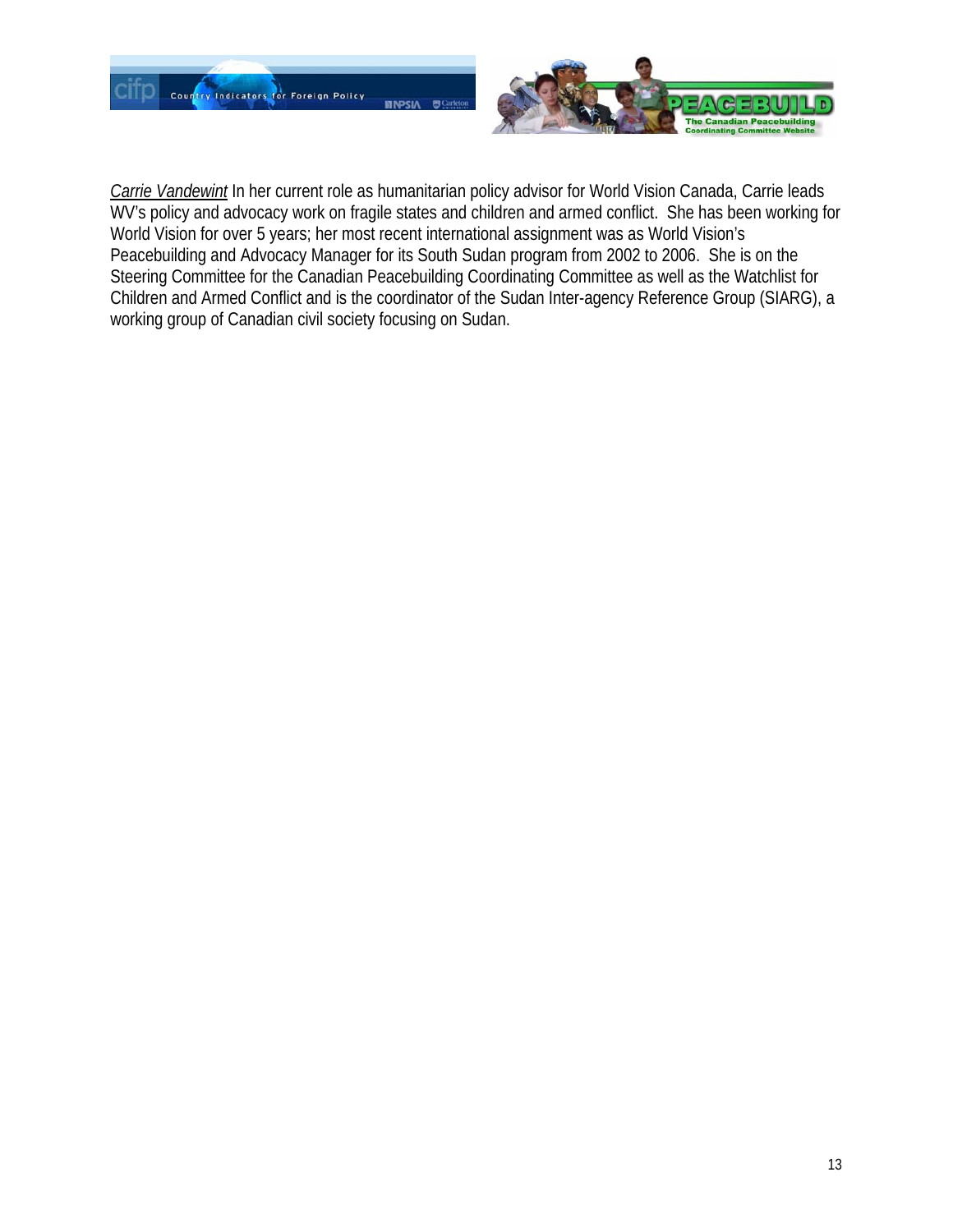

*Carrie Vandewint* In her current role as humanitarian policy advisor for World Vision Canada, Carrie leads WV's policy and advocacy work on fragile states and children and armed conflict. She has been working for World Vision for over 5 years; her most recent international assignment was as World Vision's Peacebuilding and Advocacy Manager for its South Sudan program from 2002 to 2006. She is on the Steering Committee for the Canadian Peacebuilding Coordinating Committee as well as the Watchlist for Children and Armed Conflict and is the coordinator of the Sudan Inter-agency Reference Group (SIARG), a working group of Canadian civil society focusing on Sudan.